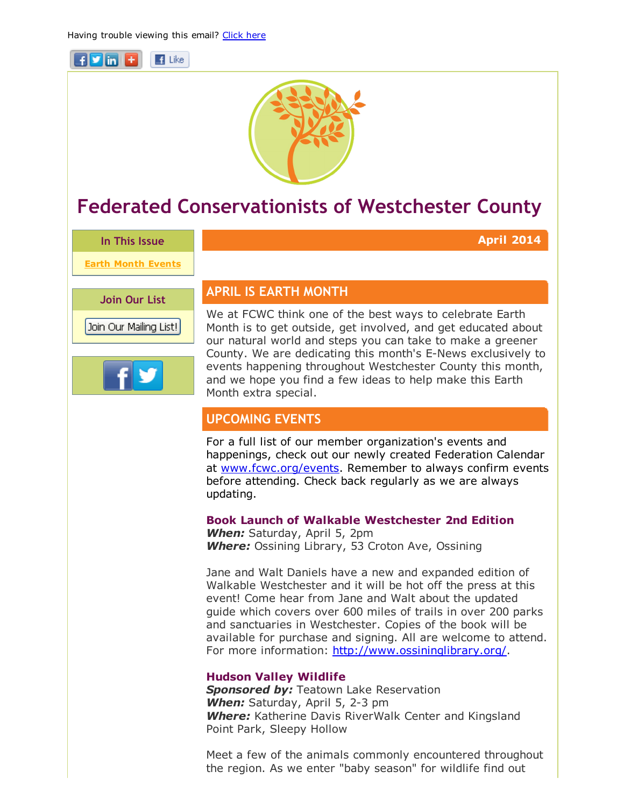



# Federated Conservationists of Westchester County

In This Issue

Earth Month Events

Join Our List

Join Our Mailing List!



# APRIL IS EARTH MONTH

We at FCWC think one of the best ways to celebrate Earth Month is to get outside, get involved, and get educated about our natural world and steps you can take to make a greener County. We are dedicating this month's E-News exclusively to events happening throughout Westchester County this month, and we hope you find a few ideas to help make this Earth Month extra special.

April 2014

# UPCOMING EVENTS

For a full list of our member organization's events and happenings, check out our newly created Federation Calendar at [www.fcwc.org/events.](http://r20.rs6.net/tn.jsp?e=001UxMWN_vbMk0PB1SCLYL0o_OmQnNRKj0eaxO5XojLCFLtdE2BVOCGKxKQZxPWiatZu9vI70hsEnP4LDYR2Wescd-fP8Lna6r0bkQMYGLXQKs=) Remember to always confirm events before attending. Check back regularly as we are always updating.

# Book Launch of Walkable Westchester 2nd Edition

*When:* Saturday, April 5, 2pm *Where:* Ossining Library, 53 Croton Ave, Ossining

Jane and Walt Daniels have a new and expanded edition of Walkable Westchester and it will be hot off the press at this event! Come hear from Jane and Walt about the updated guide which covers over 600 miles of trails in over 200 parks and sanctuaries in Westchester. Copies of the book will be available for purchase and signing. All are welcome to attend. For more information: [http://www.ossininglibrary.org/.](http://r20.rs6.net/tn.jsp?e=001UxMWN_vbMk0PB1SCLYL0o_OmQnNRKj0eaxO5XojLCFLtdE2BVOCGKxKQZxPWiatZu9vI70hsEnOfpx3tKEtd6sRWdQxiOz7B4vQAffQ0DjfbSilrpQEOHw==)

# Hudson Valley Wildlife

**Sponsored by: Teatown Lake Reservation When:** Saturday, April 5, 2-3 pm *Where:* Katherine Davis RiverWalk Center and Kingsland Point Park, Sleepy Hollow

Meet a few of the animals commonly encountered throughout the region. As we enter "baby season" for wildlife find out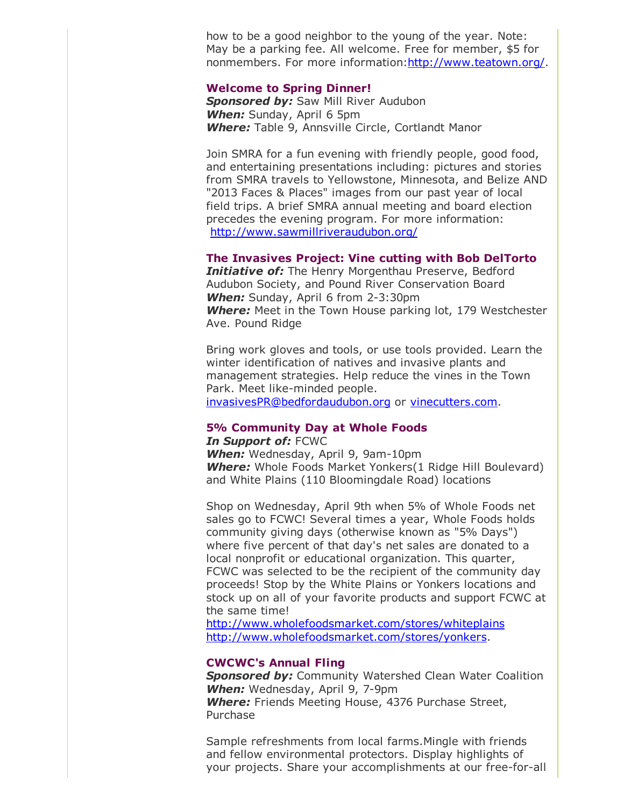how to be a good neighbor to the young of the year. Note: May be a parking fee. All welcome. Free for member, \$5 for nonmembers. For more information[:http://www.teatown.org/.](http://r20.rs6.net/tn.jsp?e=001UxMWN_vbMk0PB1SCLYL0o_OmQnNRKj0eaxO5XojLCFLtdE2BVOCGKxKQZxPWiatZu9vI70hsEnOUnC6z2IaroZN53S_xv9gKFujxVLSsy34=)

#### Welcome to Spring Dinner!

**Sponsored by:** Saw Mill River Audubon *When:* Sunday, April 6 5pm *Where:* Table 9, Annsville Circle, Cortlandt Manor

Join SMRA for a fun evening with friendly people, good food, and entertaining presentations including: pictures and stories from SMRA travels to Yellowstone, Minnesota, and Belize AND "2013 Faces & Places" images from our past year of local field trips. A brief SMRA annual meeting and board election precedes the evening program. For more information: [http://www.sawmillriveraudubon.org/](http://r20.rs6.net/tn.jsp?e=001UxMWN_vbMk0PB1SCLYL0o_OmQnNRKj0eaxO5XojLCFLtdE2BVOCGKxKQZxPWiatZu9vI70hsEnPnIVNHy8JbYu5XgxGewGE7BmvQD-4ReQnjcqABZctk9g5hZbR3MgE7)

#### The Invasives Project: Vine cutting with Bob DelTorto

*Initiative of:* The Henry Morgenthau Preserve, Bedford Audubon Society, and Pound River Conservation Board **When:** Sunday, April 6 from 2-3:30pm *Where:* Meet in the Town House parking lot, 179 Westchester Ave. Pound Ridge

Bring work gloves and tools, or use tools provided. Learn the winter identification of natives and invasive plants and management strategies. Help reduce the vines in the Town Park. Meet like-minded people.

[invasivesPR@bedfordaudubon.org](mailto:invasivesPR@bedfordaudubon.org) or [vinecutters.com.](http://r20.rs6.net/tn.jsp?e=001UxMWN_vbMk0PB1SCLYL0o_OmQnNRKj0eaxO5XojLCFLtdE2BVOCGKxKQZxPWiatZu9vI70hsEnOV6jV9AfZ7UGW5LY4iZdiC57gkxfZeSCs=)

# 5% Community Day at Whole Foods

#### *In Support of:* FCWC

**When:** Wednesday, April 9, 9am-10pm *Where:* Whole Foods Market Yonkers(1 Ridge Hill Boulevard) and White Plains (110 Bloomingdale Road) locations

Shop on Wednesday, April 9th when 5% of Whole Foods net sales go to FCWC! Several times a year, Whole Foods holds community giving days (otherwise known as "5% Days") where five percent of that day's net sales are donated to a local nonprofit or educational organization. This quarter, FCWC was selected to be the recipient of the community day proceeds! Stop by the White Plains or Yonkers locations and stock up on all of your favorite products and support FCWC at the same time!

[http://www.wholefoodsmarket.com/stores/whiteplains](http://r20.rs6.net/tn.jsp?e=001UxMWN_vbMk0PB1SCLYL0o_OmQnNRKj0eaxO5XojLCFLtdE2BVOCGKxKQZxPWiatZu9vI70hsEnPjclW-QoO2HhYz8YRybGMcHyNioQYZi3n_C6tfsX1vmhJB9DY8D-5-veBkF-z4I_Fw5KnWQ4J44g==) [http://www.wholefoodsmarket.com/stores/yonkers.](http://r20.rs6.net/tn.jsp?e=001UxMWN_vbMk0PB1SCLYL0o_OmQnNRKj0eaxO5XojLCFLtdE2BVOCGKxKQZxPWiatZu9vI70hsEnPjclW-QoO2HhYz8YRybGMcHyNioQYZi3n_C6tfsX1vmh43yk1ChDfzXfvSZDQ4ouc=)

# CWCWC's Annual Fling

**Sponsored by:** Community Watershed Clean Water Coalition **When:** Wednesday, April 9, 7-9pm *Where:* Friends Meeting House, 4376 Purchase Street, Purchase

Sample refreshments from local farms.Mingle with friends and fellow environmental protectors. Display highlights of your projects. Share your accomplishments at our free-for-all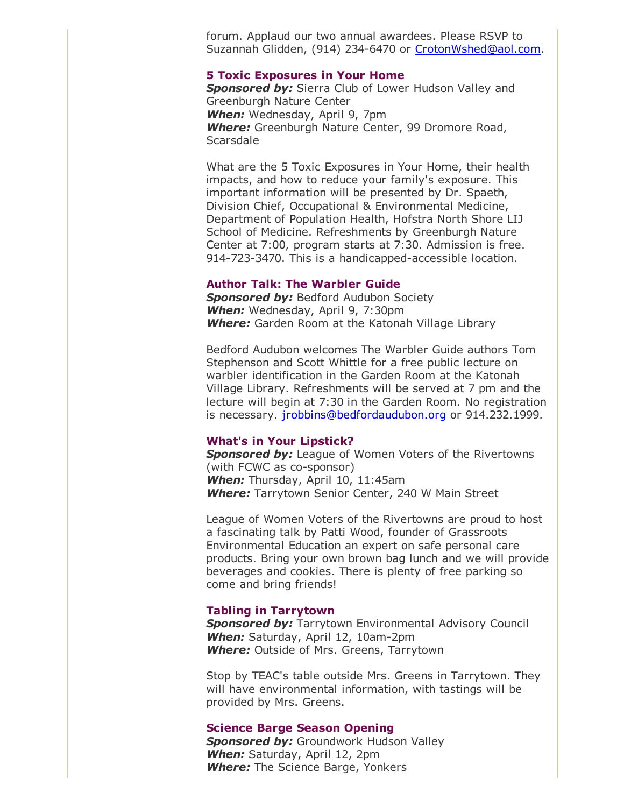forum. Applaud our two annual awardees. Please RSVP to Suzannah Glidden, (914) 234-6470 or [CrotonWshed@aol.com.](mailto:CrotonWshed@aol.com)

#### 5 Toxic Exposures in Your Home

**Sponsored by:** Sierra Club of Lower Hudson Valley and Greenburgh Nature Center *When:* Wednesday, April 9, 7pm *Where:* Greenburgh Nature Center, 99 Dromore Road, **Scarsdale** 

What are the 5 Toxic Exposures in Your Home, their health impacts, and how to reduce your family's exposure. This important information will be presented by Dr. Spaeth, Division Chief, Occupational & Environmental Medicine, Department of Population Health, Hofstra North Shore LIJ School of Medicine. Refreshments by Greenburgh Nature Center at 7:00, program starts at 7:30. Admission is free. 914-723-3470. This is a handicapped-accessible location.

# Author Talk: The Warbler Guide

**Sponsored by: Bedford Audubon Society** *When:* Wednesday, April 9, 7:30pm *Where:* Garden Room at the Katonah Village Library

Bedford Audubon welcomes The Warbler Guide authors Tom Stephenson and Scott Whittle for a free public lecture on warbler identification in the Garden Room at the Katonah Village Library. Refreshments will be served at 7 pm and the lecture will begin at 7:30 in the Garden Room. No registration is necessary. *[jrobbins@bedfordaudubon.org](mailto:jrobbins@bedfordaudubon.org)* or 914.232.1999.

#### What's in Your Lipstick?

**Sponsored by:** League of Women Voters of the Rivertowns (with FCWC as co-sponsor) *When:* Thursday, April 10, 11:45am *Where:* Tarrytown Senior Center, 240 W Main Street

League of Women Voters of the Rivertowns are proud to host a fascinating talk by Patti Wood, founder of Grassroots Environmental Education an expert on safe personal care products. Bring your own brown bag lunch and we will provide beverages and cookies. There is plenty of free parking so come and bring friends!

# Tabling in Tarrytown

**Sponsored by:** Tarrytown Environmental Advisory Council **When:** Saturday, April 12, 10am-2pm *Where:* Outside of Mrs. Greens, Tarrytown

Stop by TEAC's table outside Mrs. Greens in Tarrytown. They will have environmental information, with tastings will be provided by Mrs. Greens.

#### Science Barge Season Opening

**Sponsored by:** Groundwork Hudson Valley *When:* Saturday, April 12, 2pm *Where:* The Science Barge, Yonkers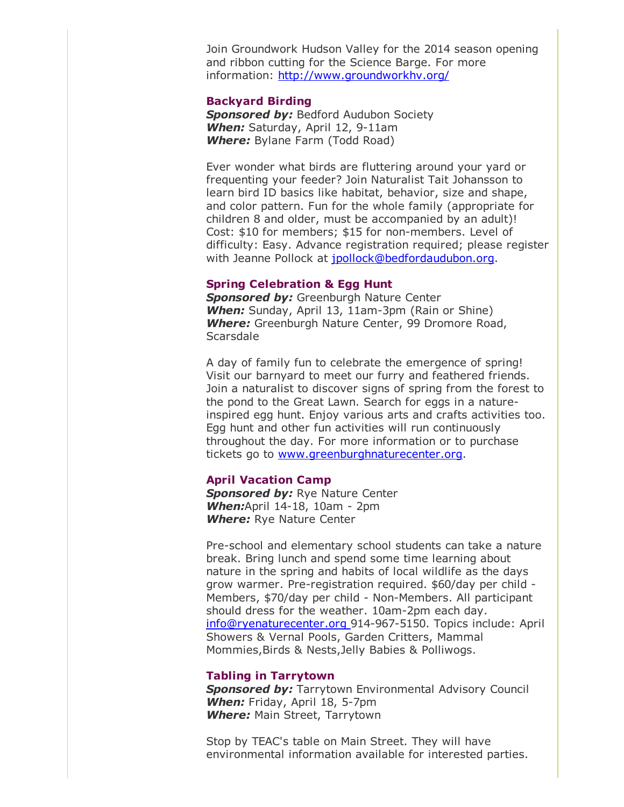Join Groundwork Hudson Valley for the 2014 season opening and ribbon cutting for the Science Barge. For more information: [http://www.groundworkhv.org/](http://r20.rs6.net/tn.jsp?e=001UxMWN_vbMk0PB1SCLYL0o_OmQnNRKj0eaxO5XojLCFLtdE2BVOCGKxKQZxPWiatZu9vI70hsEnMKhV-wrkuKDiqKW444qbDXDbBYdQmMwO-Em3-WhTshyQ==)

#### Backyard Birding

**Sponsored by: Bedford Audubon Society When:** Saturday, April 12, 9-11am *Where:* Bylane Farm (Todd Road)

Ever wonder what birds are fluttering around your yard or frequenting your feeder? Join Naturalist Tait Johansson to learn bird ID basics like habitat, behavior, size and shape, and color pattern. Fun for the whole family (appropriate for children 8 and older, must be accompanied by an adult)! Cost: \$10 for members; \$15 for non-members. Level of difficulty: Easy. Advance registration required; please register with Jeanne Pollock at [jpollock@bedfordaudubon.org](mailto:jpollock@bedfordaudubon.org).

# Spring Celebration & Egg Hunt

**Sponsored by:** Greenburgh Nature Center **When:** Sunday, April 13, 11am-3pm (Rain or Shine) *Where:* Greenburgh Nature Center, 99 Dromore Road, **Scarsdale** 

A day of family fun to celebrate the emergence of spring! Visit our barnyard to meet our furry and feathered friends. Join a naturalist to discover signs of spring from the forest to the pond to the Great Lawn. Search for eggs in a natureinspired egg hunt. Enjoy various arts and crafts activities too. Egg hunt and other fun activities will run continuously throughout the day. For more information or to purchase tickets go to [www.greenburghnaturecenter.org.](http://r20.rs6.net/tn.jsp?e=001UxMWN_vbMk0PB1SCLYL0o_OmQnNRKj0eaxO5XojLCFLtdE2BVOCGKxKQZxPWiatZu9vI70hsEnMKhV-wrkuKDi1tU-G1J0gnJzCxSPv7x9rM-7DmwQFNKDDL2agOyBkA)

### April Vacation Camp

**Sponsored by: Rye Nature Center When:**April 14-18, 10am - 2pm *Where:* Rye Nature Center

Pre-school and elementary school students can take a nature break. Bring lunch and spend some time learning about nature in the spring and habits of local wildlife as the days grow warmer. Pre-registration required. \$60/day per child -Members, \$70/day per child - Non-Members. All participant should dress for the weather. 10am-2pm each day. [info@ryenaturecenter.org](mailto:info@ryenaturecenter.org) 914-967-5150. Topics include: April Showers & Vernal Pools, Garden Critters, Mammal Mommies,Birds & Nests,Jelly Babies & Polliwogs.

#### Tabling in Tarrytown

**Sponsored by:** Tarrytown Environmental Advisory Council **When:** Friday, April 18, 5-7pm *Where:* Main Street, Tarrytown

Stop by TEAC's table on Main Street. They will have environmental information available for interested parties.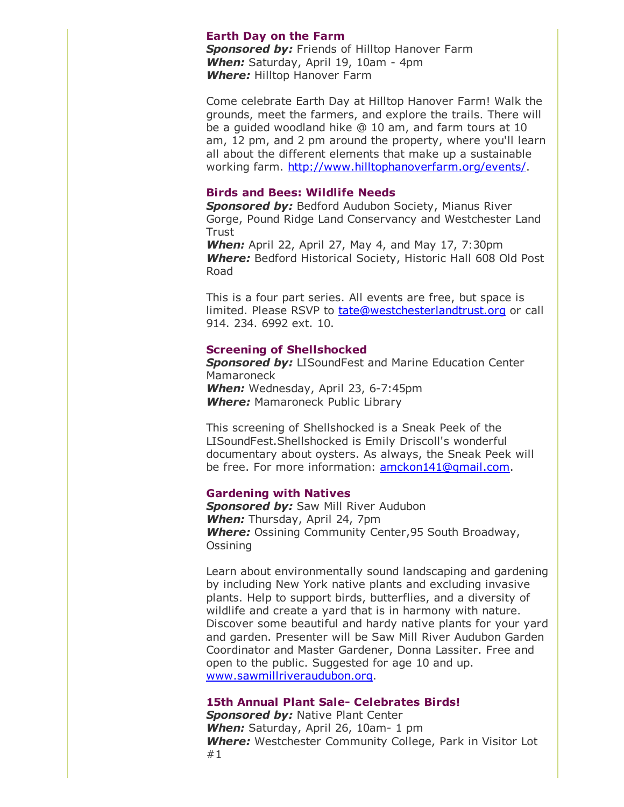# Earth Day on the Farm

*Sponsored by:* Friends of Hilltop Hanover Farm **When:** Saturday, April 19, 10am - 4pm *Where:* Hilltop Hanover Farm

Come celebrate Earth Day at Hilltop Hanover Farm! Walk the grounds, meet the farmers, and explore the trails. There will be a guided woodland hike @ 10 am, and farm tours at 10 am, 12 pm, and 2 pm around the property, where you'll learn all about the different elements that make up a sustainable working farm. [http://www.hilltophanoverfarm.org/events/.](http://r20.rs6.net/tn.jsp?e=001UxMWN_vbMk0PB1SCLYL0o_OmQnNRKj0eaxO5XojLCFLtdE2BVOCGKxKQZxPWiatZu9vI70hsEnO_ADsGXjf-6euCs4gTscUX0dk_EMKo5VijgwJ7ghnGKYvtpFylhNJbx2uIR59hhqw=)

# Birds and Bees: Wildlife Needs

**Sponsored by: Bedford Audubon Society, Mianus River** Gorge, Pound Ridge Land Conservancy and Westchester Land **Trust** 

*When:* April 22, April 27, May 4, and May 17, 7:30pm *Where:* Bedford Historical Society, Historic Hall 608 Old Post Road

This is a four part series. All events are free, but space is limited. Please RSVP to [tate@westchesterlandtrust.org](mailto:tate@westchesterlandtrust.org) or call 914. 234. 6992 ext. 10.

#### Screening of Shellshocked

*Sponsored by:* LISoundFest and Marine Education Center Mamaroneck **When:** Wednesday, April 23, 6-7:45pm *Where:* Mamaroneck Public Library

This screening of Shellshocked is a Sneak Peek of the LISoundFest.Shellshocked is Emily Driscoll's wonderful documentary about oysters. As always, the Sneak Peek will be free. For more information: [amckon141@gmail.com.](mailto:amckon141@gmail.com)

# Gardening with Natives

*Sponsored by:* Saw Mill River Audubon *When:* Thursday, April 24, 7pm *Where:* Ossining Community Center,95 South Broadway, Ossining

Learn about environmentally sound landscaping and gardening by including New York native plants and excluding invasive plants. Help to support birds, butterflies, and a diversity of wildlife and create a yard that is in harmony with nature. Discover some beautiful and hardy native plants for your yard and garden. Presenter will be Saw Mill River Audubon Garden Coordinator and Master Gardener, Donna Lassiter. Free and open to the public. Suggested for age 10 and up. [www.sawmillriveraudubon.org.](http://r20.rs6.net/tn.jsp?e=001UxMWN_vbMk0PB1SCLYL0o_OmQnNRKj0eaxO5XojLCFLtdE2BVOCGKxKQZxPWiatZu9vI70hsEnPnIVNHy8JbYu5XgxGewGE7BmvQD-4ReQndyPPqvLqxwg==)

# 15th Annual Plant Sale- Celebrates Birds!

**Sponsored by: Native Plant Center When:** Saturday, April 26, 10am- 1 pm *Where:* Westchester Community College, Park in Visitor Lot #1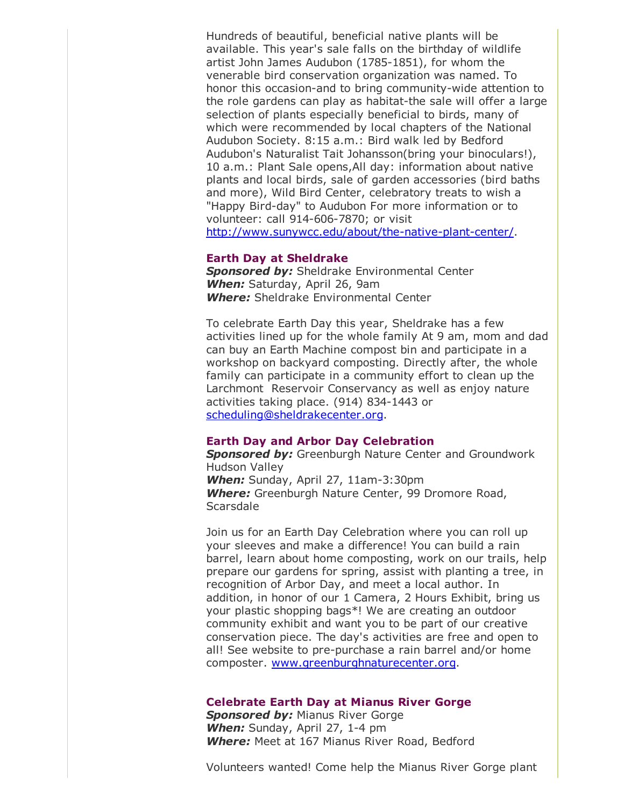Hundreds of beautiful, beneficial native plants will be available. This year's sale falls on the birthday of wildlife artist John James Audubon (1785-1851), for whom the venerable bird conservation organization was named. To honor this occasion-and to bring community-wide attention to the role gardens can play as habitat-the sale will offer a large selection of plants especially beneficial to birds, many of which were recommended by local chapters of the National Audubon Society. 8:15 a.m.: Bird walk led by Bedford Audubon's Naturalist Tait Johansson(bring your binoculars!), 10 a.m.: Plant Sale opens,All day: information about native plants and local birds, sale of garden accessories (bird baths and more), Wild Bird Center, celebratory treats to wish a "Happy Bird-day" to Audubon For more information or to volunteer: call 914-606-7870; or visit http://www.sunywcc.edu/about/the-native-plant-center/.

#### Earth Day at Sheldrake

*Sponsored by:* Sheldrake Environmental Center *When:* Saturday, April 26, 9am *Where:* Sheldrake Environmental Center

To celebrate Earth Day this year, Sheldrake has a few activities lined up for the whole family At 9 am, mom and dad can buy an Earth Machine compost bin and participate in a workshop on backyard composting. Directly after, the whole family can participate in a community effort to clean up the Larchmont Reservoir Conservancy as well as enjoy nature activities taking place. (914) 834-1443 or [scheduling@sheldrakecenter.org.](mailto:scheduling@sheldrakecenter.org)

# Earth Day and Arbor Day Celebration

*Sponsored by:* Greenburgh Nature Center and Groundwork Hudson Valley **When:** Sunday, April 27, 11am-3:30pm *Where:* Greenburgh Nature Center, 99 Dromore Road, **Scarsdale** 

Join us for an Earth Day Celebration where you can roll up your sleeves and make a difference! You can build a rain barrel, learn about home composting, work on our trails, help prepare our gardens for spring, assist with planting a tree, in recognition of Arbor Day, and meet a local author. In addition, in honor of our 1 Camera, 2 Hours Exhibit, bring us your plastic shopping bags\*! We are creating an outdoor community exhibit and want you to be part of our creative conservation piece. The day's activities are free and open to all! See website to pre-purchase a rain barrel and/or home composter. [www.greenburghnaturecenter.org.](http://r20.rs6.net/tn.jsp?e=001UxMWN_vbMk0PB1SCLYL0o_OmQnNRKj0eaxO5XojLCFLtdE2BVOCGKxKQZxPWiatZu9vI70hsEnMKhV-wrkuKDi1tU-G1J0gnJzCxSPv7x9rM-7DmwQFNKDDL2agOyBkA)

#### Celebrate Earth Day at Mianus River Gorge

**Sponsored by: Mianus River Gorge When:** Sunday, April 27, 1-4 pm *Where:* Meet at 167 Mianus River Road, Bedford

Volunteers wanted! Come help the Mianus River Gorge plant